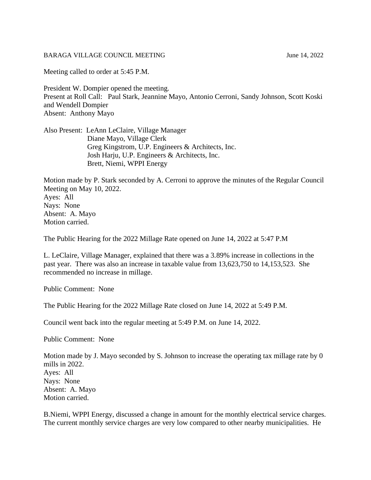## BARAGA VILLAGE COUNCIL MEETING June 14, 2022

Meeting called to order at 5:45 P.M.

President W. Dompier opened the meeting. Present at Roll Call: Paul Stark, Jeannine Mayo, Antonio Cerroni, Sandy Johnson, Scott Koski and Wendell Dompier Absent: Anthony Mayo

Also Present: LeAnn LeClaire, Village Manager Diane Mayo, Village Clerk Greg Kingstrom, U.P. Engineers & Architects, Inc. Josh Harju, U.P. Engineers & Architects, Inc. Brett, Niemi, WPPI Energy

Motion made by P. Stark seconded by A. Cerroni to approve the minutes of the Regular Council Meeting on May 10, 2022. Ayes: All Nays: None Absent: A. Mayo Motion carried.

The Public Hearing for the 2022 Millage Rate opened on June 14, 2022 at 5:47 P.M

L. LeClaire, Village Manager, explained that there was a 3.89% increase in collections in the past year. There was also an increase in taxable value from 13,623,750 to 14,153,523. She recommended no increase in millage.

Public Comment: None

The Public Hearing for the 2022 Millage Rate closed on June 14, 2022 at 5:49 P.M.

Council went back into the regular meeting at 5:49 P.M. on June 14, 2022.

Public Comment: None

Motion made by J. Mayo seconded by S. Johnson to increase the operating tax millage rate by 0 mills in 2022. Ayes: All Nays: None Absent: A. Mayo Motion carried.

B.Niemi, WPPI Energy, discussed a change in amount for the monthly electrical service charges. The current monthly service charges are very low compared to other nearby municipalities. He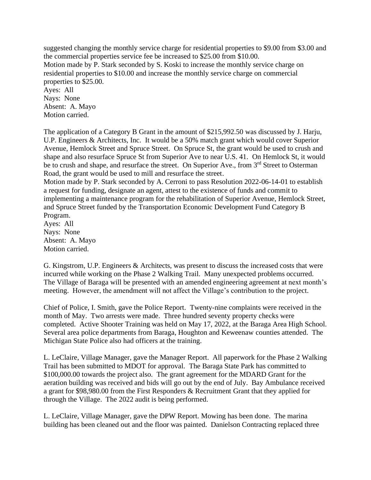suggested changing the monthly service charge for residential properties to \$9.00 from \$3.00 and the commercial properties service fee be increased to \$25.00 from \$10.00. Motion made by P. Stark seconded by S. Koski to increase the monthly service charge on residential properties to \$10.00 and increase the monthly service charge on commercial properties to \$25.00. Ayes: All Nays: None

Absent: A. Mayo Motion carried.

The application of a Category B Grant in the amount of \$215,992.50 was discussed by J. Harju, U.P. Engineers & Architects, Inc. It would be a 50% match grant which would cover Superior Avenue, Hemlock Street and Spruce Street. On Spruce St, the grant would be used to crush and shape and also resurface Spruce St from Superior Ave to near U.S. 41. On Hemlock St, it would be to crush and shape, and resurface the street. On Superior Ave., from 3<sup>rd</sup> Street to Osterman Road, the grant would be used to mill and resurface the street.

Motion made by P. Stark seconded by A. Cerroni to pass Resolution 2022-06-14-01 to establish a request for funding, designate an agent, attest to the existence of funds and commit to implementing a maintenance program for the rehabilitation of Superior Avenue, Hemlock Street, and Spruce Street funded by the Transportation Economic Development Fund Category B Program.

Ayes: All Nays: None Absent: A. Mayo Motion carried.

G. Kingstrom, U.P. Engineers & Architects, was present to discuss the increased costs that were incurred while working on the Phase 2 Walking Trail. Many unexpected problems occurred. The Village of Baraga will be presented with an amended engineering agreement at next month's meeting. However, the amendment will not affect the Village's contribution to the project.

Chief of Police, I. Smith, gave the Police Report. Twenty-nine complaints were received in the month of May. Two arrests were made. Three hundred seventy property checks were completed. Active Shooter Training was held on May 17, 2022, at the Baraga Area High School. Several area police departments from Baraga, Houghton and Keweenaw counties attended. The Michigan State Police also had officers at the training.

L. LeClaire, Village Manager, gave the Manager Report. All paperwork for the Phase 2 Walking Trail has been submitted to MDOT for approval. The Baraga State Park has committed to \$100,000.00 towards the project also. The grant agreement for the MDARD Grant for the aeration building was received and bids will go out by the end of July. Bay Ambulance received a grant for \$98,980.00 from the First Responders & Recruitment Grant that they applied for through the Village. The 2022 audit is being performed.

L. LeClaire, Village Manager, gave the DPW Report. Mowing has been done. The marina building has been cleaned out and the floor was painted. Danielson Contracting replaced three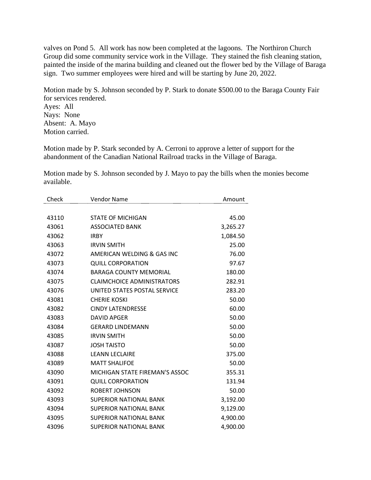valves on Pond 5. All work has now been completed at the lagoons. The Northiron Church Group did some community service work in the Village. They stained the fish cleaning station, painted the inside of the marina building and cleaned out the flower bed by the Village of Baraga sign. Two summer employees were hired and will be starting by June 20, 2022.

Motion made by S. Johnson seconded by P. Stark to donate \$500.00 to the Baraga County Fair for services rendered. Ayes: All Nays: None Absent: A. Mayo Motion carried.

Motion made by P. Stark seconded by A. Cerroni to approve a letter of support for the abandonment of the Canadian National Railroad tracks in the Village of Baraga.

Motion made by S. Johnson seconded by J. Mayo to pay the bills when the monies become available.

| Check | <b>Vendor Name</b>                | Amount   |
|-------|-----------------------------------|----------|
|       |                                   |          |
| 43110 | <b>STATE OF MICHIGAN</b>          | 45.00    |
| 43061 | <b>ASSOCIATED BANK</b>            | 3,265.27 |
| 43062 | <b>IRBY</b>                       | 1,084.50 |
| 43063 | <b>IRVIN SMITH</b>                | 25.00    |
| 43072 | AMERICAN WELDING & GAS INC        | 76.00    |
| 43073 | <b>QUILL CORPORATION</b>          | 97.67    |
| 43074 | <b>BARAGA COUNTY MEMORIAL</b>     | 180.00   |
| 43075 | <b>CLAIMCHOICE ADMINISTRATORS</b> | 282.91   |
| 43076 | UNITED STATES POSTAL SERVICE      | 283.20   |
| 43081 | <b>CHERIE KOSKI</b>               | 50.00    |
| 43082 | <b>CINDY LATENDRESSE</b>          | 60.00    |
| 43083 | <b>DAVID APGER</b>                | 50.00    |
| 43084 | <b>GERARD LINDEMANN</b>           | 50.00    |
| 43085 | <b>IRVIN SMITH</b>                | 50.00    |
| 43087 | <b>JOSH TAISTO</b>                | 50.00    |
| 43088 | <b>LEANN LECLAIRE</b>             | 375.00   |
| 43089 | <b>MATT SHALIFOE</b>              | 50.00    |
| 43090 | MICHIGAN STATE FIREMAN'S ASSOC    | 355.31   |
| 43091 | <b>QUILL CORPORATION</b>          | 131.94   |
| 43092 | <b>ROBERT JOHNSON</b>             | 50.00    |
| 43093 | <b>SUPERIOR NATIONAL BANK</b>     | 3,192.00 |
| 43094 | <b>SUPERIOR NATIONAL BANK</b>     | 9,129.00 |
| 43095 | <b>SUPERIOR NATIONAL BANK</b>     | 4,900.00 |
| 43096 | <b>SUPERIOR NATIONAL BANK</b>     | 4,900.00 |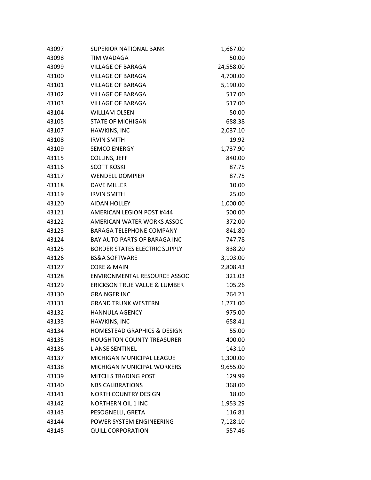| 43097 | <b>SUPERIOR NATIONAL BANK</b>           | 1,667.00  |
|-------|-----------------------------------------|-----------|
| 43098 | TIM WADAGA                              | 50.00     |
| 43099 | <b>VILLAGE OF BARAGA</b>                | 24,558.00 |
| 43100 | <b>VILLAGE OF BARAGA</b>                | 4,700.00  |
| 43101 | <b>VILLAGE OF BARAGA</b>                | 5,190.00  |
| 43102 | <b>VILLAGE OF BARAGA</b>                | 517.00    |
| 43103 | <b>VILLAGE OF BARAGA</b>                | 517.00    |
| 43104 | <b>WILLIAM OLSEN</b>                    | 50.00     |
| 43105 | <b>STATE OF MICHIGAN</b>                | 688.38    |
| 43107 | HAWKINS, INC                            | 2,037.10  |
| 43108 | <b>IRVIN SMITH</b>                      | 19.92     |
| 43109 | <b>SEMCO ENERGY</b>                     | 1,737.90  |
| 43115 | <b>COLLINS, JEFF</b>                    | 840.00    |
| 43116 | <b>SCOTT KOSKI</b>                      | 87.75     |
| 43117 | <b>WENDELL DOMPIER</b>                  | 87.75     |
| 43118 | <b>DAVE MILLER</b>                      | 10.00     |
| 43119 | <b>IRVIN SMITH</b>                      | 25.00     |
| 43120 | <b>AIDAN HOLLEY</b>                     | 1,000.00  |
| 43121 | <b>AMERICAN LEGION POST #444</b>        | 500.00    |
| 43122 | AMERICAN WATER WORKS ASSOC              | 372.00    |
| 43123 | <b>BARAGA TELEPHONE COMPANY</b>         | 841.80    |
| 43124 | <b>BAY AUTO PARTS OF BARAGA INC</b>     | 747.78    |
| 43125 | <b>BORDER STATES ELECTRIC SUPPLY</b>    | 838.20    |
| 43126 | <b>BS&amp;A SOFTWARE</b>                | 3,103.00  |
| 43127 | CORE & MAIN                             | 2,808.43  |
| 43128 | <b>ENVIRONMENTAL RESOURCE ASSOC</b>     | 321.03    |
| 43129 | <b>ERICKSON TRUE VALUE &amp; LUMBER</b> | 105.26    |
| 43130 | <b>GRAINGER INC</b>                     | 264.21    |
| 43131 | <b>GRAND TRUNK WESTERN</b>              | 1,271.00  |
| 43132 | <b>HANNULA AGENCY</b>                   | 975.00    |
| 43133 | HAWKINS, INC                            | 658.41    |
| 43134 | <b>HOMESTEAD GRAPHICS &amp; DESIGN</b>  | 55.00     |
| 43135 | <b>HOUGHTON COUNTY TREASURER</b>        | 400.00    |
| 43136 | <b>LANSE SENTINEL</b>                   | 143.10    |
| 43137 | MICHIGAN MUNICIPAL LEAGUE               | 1,300.00  |
| 43138 | MICHIGAN MUNICIPAL WORKERS              | 9,655.00  |
| 43139 | <b>MITCH S TRADING POST</b>             | 129.99    |
| 43140 | <b>NBS CALIBRATIONS</b>                 | 368.00    |
| 43141 | <b>NORTH COUNTRY DESIGN</b>             | 18.00     |
| 43142 | <b>NORTHERN OIL 1 INC</b>               | 1,953.29  |
| 43143 | PESOGNELLI, GRETA                       | 116.81    |
| 43144 | POWER SYSTEM ENGINEERING                | 7,128.10  |
| 43145 | <b>QUILL CORPORATION</b>                | 557.46    |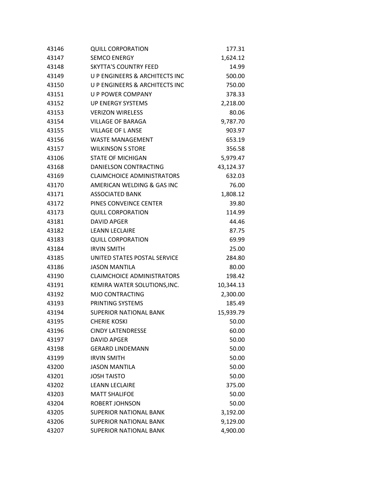| 43146 | <b>QUILL CORPORATION</b>                  | 177.31    |
|-------|-------------------------------------------|-----------|
| 43147 | <b>SEMCO ENERGY</b>                       | 1,624.12  |
| 43148 | <b>SKYTTA'S COUNTRY FEED</b>              | 14.99     |
| 43149 | <b>U P ENGINEERS &amp; ARCHITECTS INC</b> | 500.00    |
| 43150 | U P ENGINEERS & ARCHITECTS INC            | 750.00    |
| 43151 | <b>U P POWER COMPANY</b>                  | 378.33    |
| 43152 | UP ENERGY SYSTEMS                         | 2,218.00  |
| 43153 | <b>VERIZON WIRELESS</b>                   | 80.06     |
| 43154 | <b>VILLAGE OF BARAGA</b>                  | 9,787.70  |
| 43155 | <b>VILLAGE OF L ANSE</b>                  | 903.97    |
| 43156 | <b>WASTE MANAGEMENT</b>                   | 653.19    |
| 43157 | <b>WILKINSON S STORE</b>                  | 356.58    |
| 43106 | <b>STATE OF MICHIGAN</b>                  | 5,979.47  |
| 43168 | DANIELSON CONTRACTING                     | 43,124.37 |
| 43169 | <b>CLAIMCHOICE ADMINISTRATORS</b>         | 632.03    |
| 43170 | AMERICAN WELDING & GAS INC                | 76.00     |
| 43171 | <b>ASSOCIATED BANK</b>                    | 1,808.12  |
| 43172 | PINES CONVEINCE CENTER                    | 39.80     |
| 43173 | <b>QUILL CORPORATION</b>                  | 114.99    |
| 43181 | <b>DAVID APGER</b>                        | 44.46     |
| 43182 | <b>LEANN LECLAIRE</b>                     | 87.75     |
| 43183 | <b>QUILL CORPORATION</b>                  | 69.99     |
| 43184 | <b>IRVIN SMITH</b>                        | 25.00     |
| 43185 | UNITED STATES POSTAL SERVICE              | 284.80    |
| 43186 | <b>JASON MANTILA</b>                      | 80.00     |
| 43190 | <b>CLAIMCHOICE ADMINISTRATORS</b>         | 198.42    |
| 43191 | KEMIRA WATER SOLUTIONS, INC.              | 10,344.13 |
| 43192 | <b>MJO CONTRACTING</b>                    | 2,300.00  |
| 43193 | PRINTING SYSTEMS                          | 185.49    |
| 43194 | <b>SUPERIOR NATIONAL BANK</b>             | 15,939.79 |
| 43195 | <b>CHERIE KOSKI</b>                       | 50.00     |
| 43196 | <b>CINDY LATENDRESSE</b>                  | 60.00     |
| 43197 | <b>DAVID APGER</b>                        | 50.00     |
| 43198 | <b>GERARD LINDEMANN</b>                   | 50.00     |
| 43199 | <b>IRVIN SMITH</b>                        | 50.00     |
| 43200 | <b>JASON MANTILA</b>                      | 50.00     |
| 43201 | <b>JOSH TAISTO</b>                        | 50.00     |
| 43202 | <b>LEANN LECLAIRE</b>                     | 375.00    |
| 43203 | <b>MATT SHALIFOE</b>                      | 50.00     |
| 43204 | <b>ROBERT JOHNSON</b>                     | 50.00     |
| 43205 | <b>SUPERIOR NATIONAL BANK</b>             | 3,192.00  |
| 43206 | <b>SUPERIOR NATIONAL BANK</b>             | 9,129.00  |
| 43207 | <b>SUPERIOR NATIONAL BANK</b>             | 4,900.00  |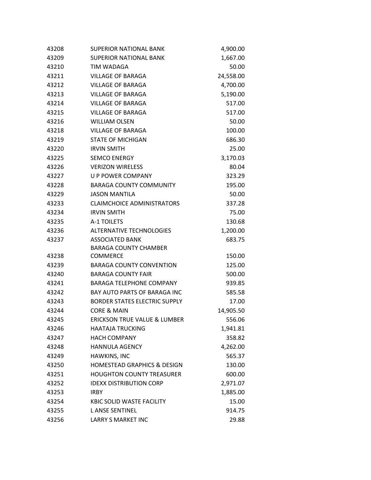| 43208 | <b>SUPERIOR NATIONAL BANK</b>           | 4,900.00  |
|-------|-----------------------------------------|-----------|
| 43209 | <b>SUPERIOR NATIONAL BANK</b>           | 1,667.00  |
| 43210 | TIM WADAGA                              | 50.00     |
| 43211 | <b>VILLAGE OF BARAGA</b>                | 24,558.00 |
| 43212 | <b>VILLAGE OF BARAGA</b>                | 4,700.00  |
| 43213 | <b>VILLAGE OF BARAGA</b>                | 5,190.00  |
| 43214 | <b>VILLAGE OF BARAGA</b>                | 517.00    |
| 43215 | <b>VILLAGE OF BARAGA</b>                | 517.00    |
| 43216 | <b>WILLIAM OLSEN</b>                    | 50.00     |
| 43218 | <b>VILLAGE OF BARAGA</b>                | 100.00    |
| 43219 | <b>STATE OF MICHIGAN</b>                | 686.30    |
| 43220 | <b>IRVIN SMITH</b>                      | 25.00     |
| 43225 | <b>SEMCO ENERGY</b>                     | 3,170.03  |
| 43226 | <b>VERIZON WIRELESS</b>                 | 80.04     |
| 43227 | <b>U P POWER COMPANY</b>                | 323.29    |
| 43228 | <b>BARAGA COUNTY COMMUNITY</b>          | 195.00    |
| 43229 | <b>JASON MANTILA</b>                    | 50.00     |
| 43233 | <b>CLAIMCHOICE ADMINISTRATORS</b>       | 337.28    |
| 43234 | <b>IRVIN SMITH</b>                      | 75.00     |
| 43235 | A-1 TOILETS                             | 130.68    |
| 43236 | <b>ALTERNATIVE TECHNOLOGIES</b>         | 1,200.00  |
| 43237 | <b>ASSOCIATED BANK</b>                  | 683.75    |
|       | <b>BARAGA COUNTY CHAMBER</b>            |           |
| 43238 | <b>COMMERCE</b>                         | 150.00    |
| 43239 | <b>BARAGA COUNTY CONVENTION</b>         | 125.00    |
| 43240 | <b>BARAGA COUNTY FAIR</b>               | 500.00    |
| 43241 | <b>BARAGA TELEPHONE COMPANY</b>         | 939.85    |
| 43242 | BAY AUTO PARTS OF BARAGA INC            | 585.58    |
| 43243 | <b>BORDER STATES ELECTRIC SUPPLY</b>    | 17.00     |
| 43244 | <b>CORE &amp; MAIN</b>                  | 14,905.50 |
| 43245 | <b>ERICKSON TRUE VALUE &amp; LUMBER</b> | 556.06    |
| 43246 | <b>HAATAJA TRUCKING</b>                 | 1,941.81  |
| 43247 | <b>HACH COMPANY</b>                     | 358.82    |
| 43248 | <b>HANNULA AGENCY</b>                   | 4,262.00  |
| 43249 | HAWKINS, INC                            | 565.37    |
| 43250 | <b>HOMESTEAD GRAPHICS &amp; DESIGN</b>  | 130.00    |
| 43251 | <b>HOUGHTON COUNTY TREASURER</b>        | 600.00    |
| 43252 | <b>IDEXX DISTRIBUTION CORP</b>          | 2,971.07  |
| 43253 | <b>IRBY</b>                             | 1,885.00  |
| 43254 | <b>KBIC SOLID WASTE FACILITY</b>        | 15.00     |
| 43255 | <b>LANSE SENTINEL</b>                   | 914.75    |
| 43256 | LARRY S MARKET INC                      | 29.88     |